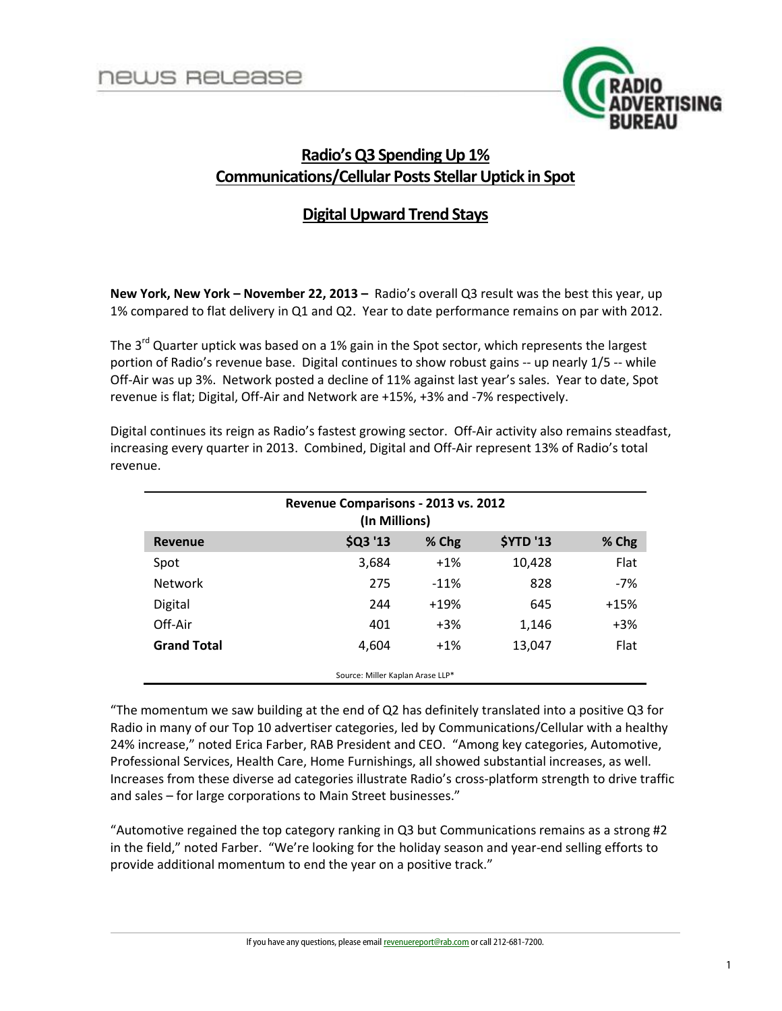

# **Radio's Q3 Spending Up 1% Communications/Cellular Posts Stellar Uptick in Spot**

# **Digital Upward Trend Stays**

**New York, New York – November 22, 2013 –** Radio's overall Q3 result was the best this year, up 1% compared to flat delivery in Q1 and Q2. Year to date performance remains on par with 2012.

The  $3^{rd}$  Quarter uptick was based on a 1% gain in the Spot sector, which represents the largest portion of Radio's revenue base. Digital continues to show robust gains -- up nearly 1/5 -- while Off-Air was up 3%. Network posted a decline of 11% against last year's sales. Year to date, Spot revenue is flat; Digital, Off-Air and Network are +15%, +3% and -7% respectively.

| Revenue Comparisons - 2013 vs. 2012<br>(In Millions) |          |        |                  |        |
|------------------------------------------------------|----------|--------|------------------|--------|
| <b>Revenue</b>                                       | \$Q3 '13 | % Chg  | <b>\$YTD '13</b> | % Chg  |
| Spot                                                 | 3,684    | $+1\%$ | 10,428           | Flat   |
| <b>Network</b>                                       | 275      | $-11%$ | 828              | -7%    |
| Digital                                              | 244      | $+19%$ | 645              | $+15%$ |
| Off-Air                                              | 401      | $+3%$  | 1,146            | $+3%$  |
| <b>Grand Total</b>                                   | 4,604    | $+1\%$ | 13,047           | Flat   |
| Source: Miller Kaplan Arase LLP*                     |          |        |                  |        |

Digital continues its reign as Radio's fastest growing sector. Off-Air activity also remains steadfast, increasing every quarter in 2013. Combined, Digital and Off-Air represent 13% of Radio's total revenue.

"The momentum we saw building at the end of Q2 has definitely translated into a positive Q3 for Radio in many of our Top 10 advertiser categories, led by Communications/Cellular with a healthy 24% increase," noted Erica Farber, RAB President and CEO. "Among key categories, Automotive, Professional Services, Health Care, Home Furnishings, all showed substantial increases, as well. Increases from these diverse ad categories illustrate Radio's cross-platform strength to drive traffic and sales – for large corporations to Main Street businesses."

"Automotive regained the top category ranking in Q3 but Communications remains as a strong #2 in the field," noted Farber. "We're looking for the holiday season and year-end selling efforts to provide additional momentum to end the year on a positive track."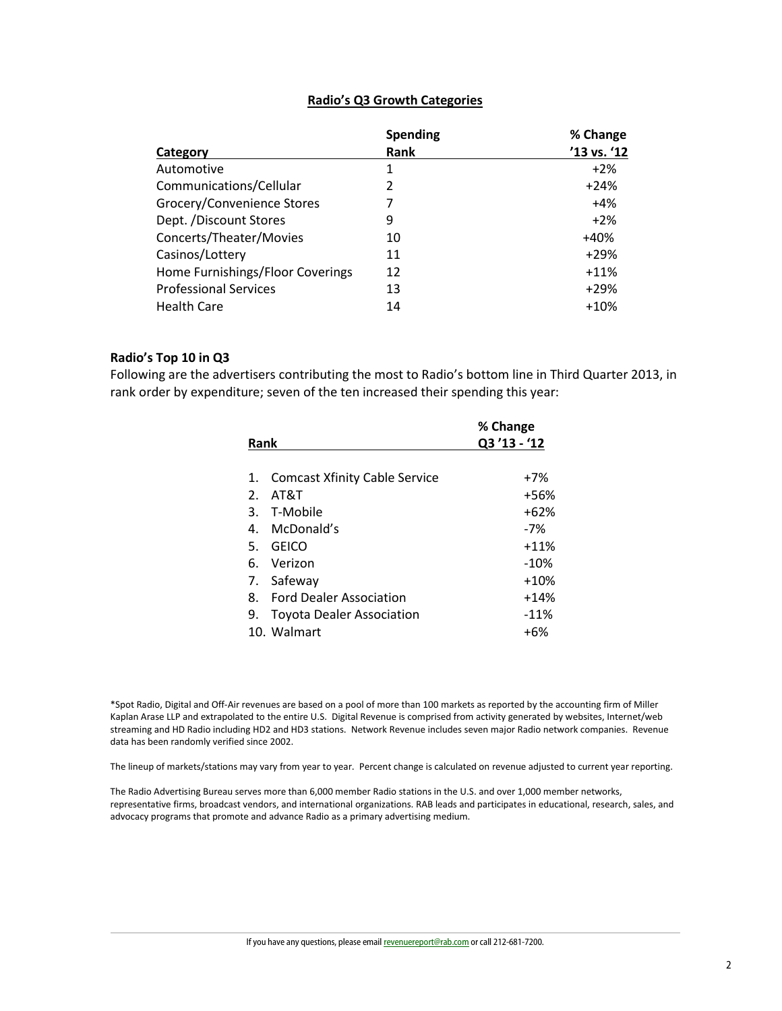#### **Radio's Q3 Growth Categories**

|                                  | <b>Spending</b> | % Change    |
|----------------------------------|-----------------|-------------|
| Category                         | Rank            | '13 vs. '12 |
| Automotive                       | 1               | $+2\%$      |
| Communications/Cellular          | 2               | $+24%$      |
| Grocery/Convenience Stores       |                 | $+4%$       |
| Dept. /Discount Stores           | 9               | $+2\%$      |
| Concerts/Theater/Movies          | 10              | $+40%$      |
| Casinos/Lottery                  | 11              | $+29%$      |
| Home Furnishings/Floor Coverings | 12              | $+11%$      |
| <b>Professional Services</b>     | 13              | $+29%$      |
| <b>Health Care</b>               | 14              | $+10%$      |

#### **Radio's Top 10 in Q3**

Following are the advertisers contributing the most to Radio's bottom line in Third Quarter 2013, in rank order by expenditure; seven of the ten increased their spending this year:

|      |                                      | % Change    |
|------|--------------------------------------|-------------|
| Rank |                                      | Q3'13 - '12 |
| 1.   | <b>Comcast Xfinity Cable Service</b> | $+7%$       |
| 2.   | AT&T                                 | +56%        |
|      | 3. T-Mobile                          | $+62%$      |
|      | 4. McDonald's                        | -7%         |
| 5.   | GEICO                                | $+11%$      |
|      | 6. Verizon                           | $-10\%$     |
|      | 7. Safeway                           | $+10%$      |
|      | 8. Ford Dealer Association           | $+14%$      |
| 9.   | <b>Toyota Dealer Association</b>     | $-11%$      |
|      | 10. Walmart                          | +6%         |
|      |                                      |             |

\*Spot Radio, Digital and Off-Air revenues are based on a pool of more than 100 markets as reported by the accounting firm of Miller Kaplan Arase LLP and extrapolated to the entire U.S. Digital Revenue is comprised from activity generated by websites, Internet/web streaming and HD Radio including HD2 and HD3 stations. Network Revenue includes seven major Radio network companies. Revenue data has been randomly verified since 2002.

The lineup of markets/stations may vary from year to year. Percent change is calculated on revenue adjusted to current year reporting.

The Radio Advertising Bureau serves more than 6,000 member Radio stations in the U.S. and over 1,000 member networks, representative firms, broadcast vendors, and international organizations. RAB leads and participates in educational, research, sales, and advocacy programs that promote and advance Radio as a primary advertising medium.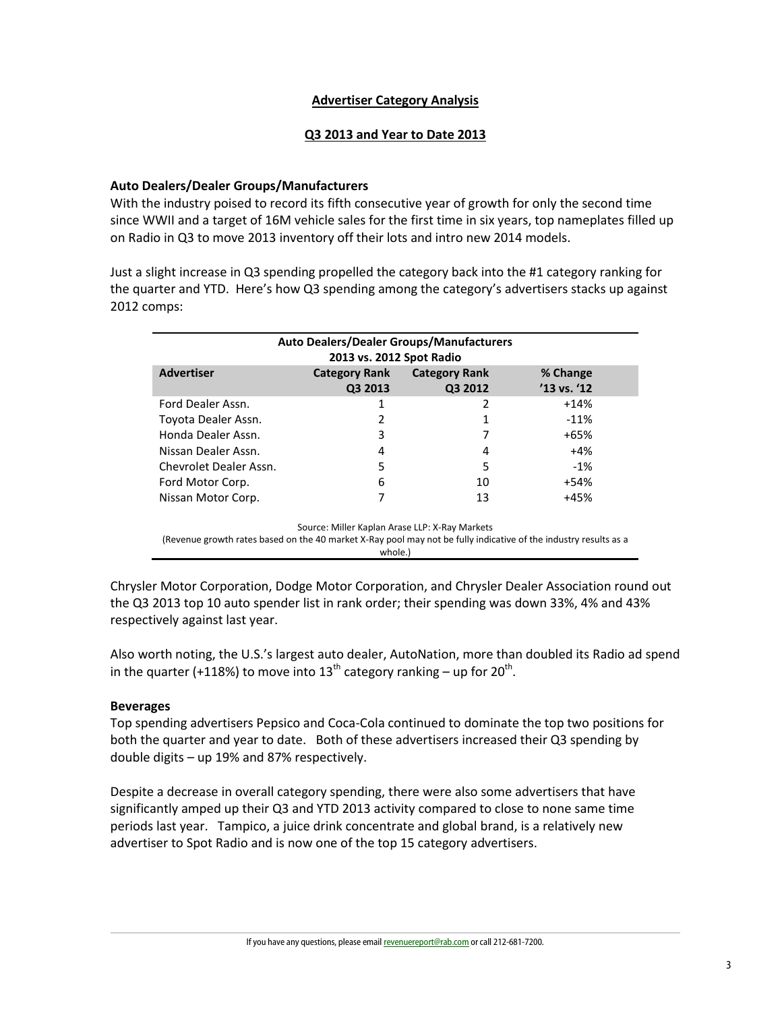## **Advertiser Category Analysis**

## **Q3 2013 and Year to Date 2013**

#### **Auto Dealers/Dealer Groups/Manufacturers**

With the industry poised to record its fifth consecutive year of growth for only the second time since WWII and a target of 16M vehicle sales for the first time in six years, top nameplates filled up on Radio in Q3 to move 2013 inventory off their lots and intro new 2014 models.

Just a slight increase in Q3 spending propelled the category back into the #1 category ranking for the quarter and YTD. Here's how Q3 spending among the category's advertisers stacks up against 2012 comps:

| <b>Auto Dealers/Dealer Groups/Manufacturers</b><br>2013 vs. 2012 Spot Radio |                                 |                                 |                             |  |
|-----------------------------------------------------------------------------|---------------------------------|---------------------------------|-----------------------------|--|
| <b>Advertiser</b>                                                           | <b>Category Rank</b><br>Q3 2013 | <b>Category Rank</b><br>Q3 2012 | % Change<br>$'13$ vs. $'12$ |  |
| Ford Dealer Assn.                                                           |                                 | 2                               | $+14%$                      |  |
| Toyota Dealer Assn.                                                         | 2                               |                                 | $-11%$                      |  |
| Honda Dealer Assn.                                                          | 3                               | 7                               | $+65%$                      |  |
| Nissan Dealer Assn.                                                         | 4                               | 4                               | $+4%$                       |  |
| Chevrolet Dealer Assn.                                                      | 5                               | 5                               | $-1\%$                      |  |
| Ford Motor Corp.                                                            | 6                               | 10                              | $+54%$                      |  |
| Nissan Motor Corp.                                                          |                                 | 13                              | $+45%$                      |  |

Source: Miller Kaplan Arase LLP: X-Ray Markets

(Revenue growth rates based on the 40 market X-Ray pool may not be fully indicative of the industry results as a whole.)

Chrysler Motor Corporation, Dodge Motor Corporation, and Chrysler Dealer Association round out the Q3 2013 top 10 auto spender list in rank order; their spending was down 33%, 4% and 43% respectively against last year.

Also worth noting, the U.S.'s largest auto dealer, AutoNation, more than doubled its Radio ad spend in the quarter (+118%) to move into 13<sup>th</sup> category ranking – up for 20<sup>th</sup>.

## **Beverages**

Top spending advertisers Pepsico and Coca-Cola continued to dominate the top two positions for both the quarter and year to date. Both of these advertisers increased their Q3 spending by double digits – up 19% and 87% respectively.

Despite a decrease in overall category spending, there were also some advertisers that have significantly amped up their Q3 and YTD 2013 activity compared to close to none same time periods last year. Tampico, a juice drink concentrate and global brand, is a relatively new advertiser to Spot Radio and is now one of the top 15 category advertisers.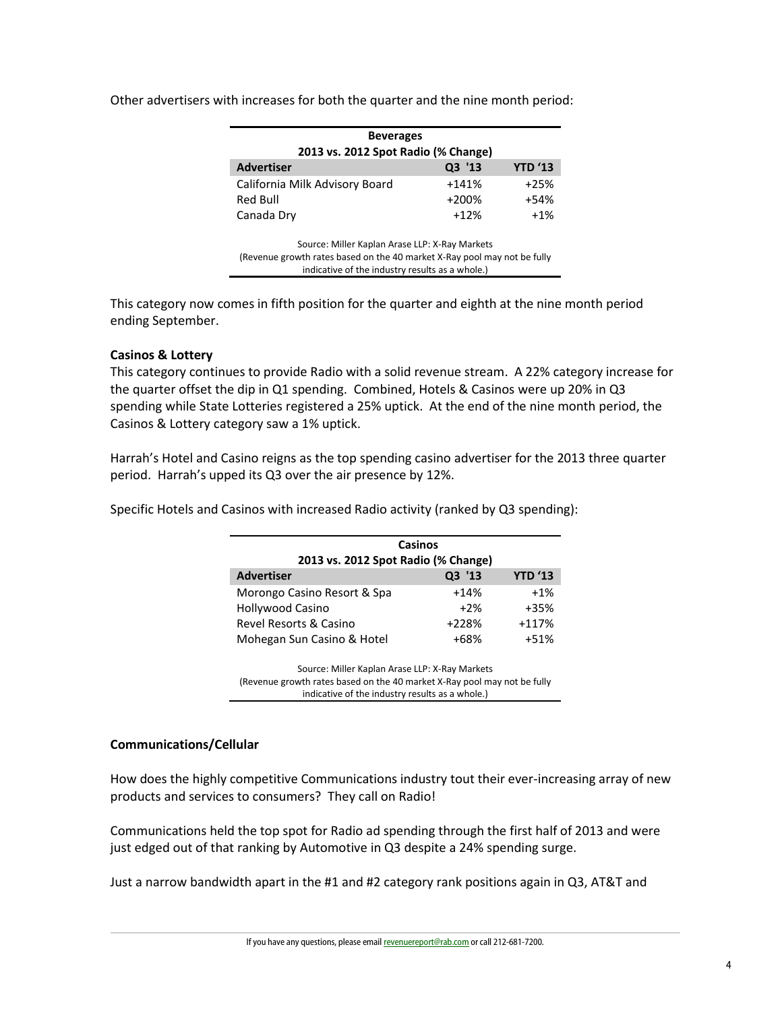| <b>Beverages</b>                               |         |                |  |
|------------------------------------------------|---------|----------------|--|
| 2013 vs. 2012 Spot Radio (% Change)            |         |                |  |
| <b>Advertiser</b>                              | Q3 '13  | <b>YTD '13</b> |  |
| California Milk Advisory Board                 | $+141%$ | $+25%$         |  |
| Red Bull                                       | $+200%$ | $+54%$         |  |
| Canada Dry                                     | $+12%$  | $+1\%$         |  |
| Source: Miller Kaplan Arase LLP: X-Ray Markets |         |                |  |

Other advertisers with increases for both the quarter and the nine month period:

(Revenue growth rates based on the 40 market X-Ray pool may not be fully indicative of the industry results as a whole.)

This category now comes in fifth position for the quarter and eighth at the nine month period ending September.

## **Casinos & Lottery**

This category continues to provide Radio with a solid revenue stream. A 22% category increase for the quarter offset the dip in Q1 spending. Combined, Hotels & Casinos were up 20% in Q3 spending while State Lotteries registered a 25% uptick. At the end of the nine month period, the Casinos & Lottery category saw a 1% uptick.

Harrah's Hotel and Casino reigns as the top spending casino advertiser for the 2013 three quarter period. Harrah's upped its Q3 over the air presence by 12%.

Specific Hotels and Casinos with increased Radio activity (ranked by Q3 spending):

| Casinos                             |         |                |
|-------------------------------------|---------|----------------|
| 2013 vs. 2012 Spot Radio (% Change) |         |                |
| <b>Advertiser</b>                   | Q3 '13  | <b>YTD '13</b> |
| Morongo Casino Resort & Spa         | $+14%$  | $+1%$          |
| <b>Hollywood Casino</b>             | $+2%$   | $+35%$         |
| Revel Resorts & Casino              | $+228%$ | $+117%$        |
| Mohegan Sun Casino & Hotel          | $+68%$  | $+51%$         |

Source: Miller Kaplan Arase LLP: X-Ray Markets (Revenue growth rates based on the 40 market X-Ray pool may not be fully indicative of the industry results as a whole.)

## **Communications/Cellular**

How does the highly competitive Communications industry tout their ever-increasing array of new products and services to consumers? They call on Radio!

Communications held the top spot for Radio ad spending through the first half of 2013 and were just edged out of that ranking by Automotive in Q3 despite a 24% spending surge.

Just a narrow bandwidth apart in the #1 and #2 category rank positions again in Q3, AT&T and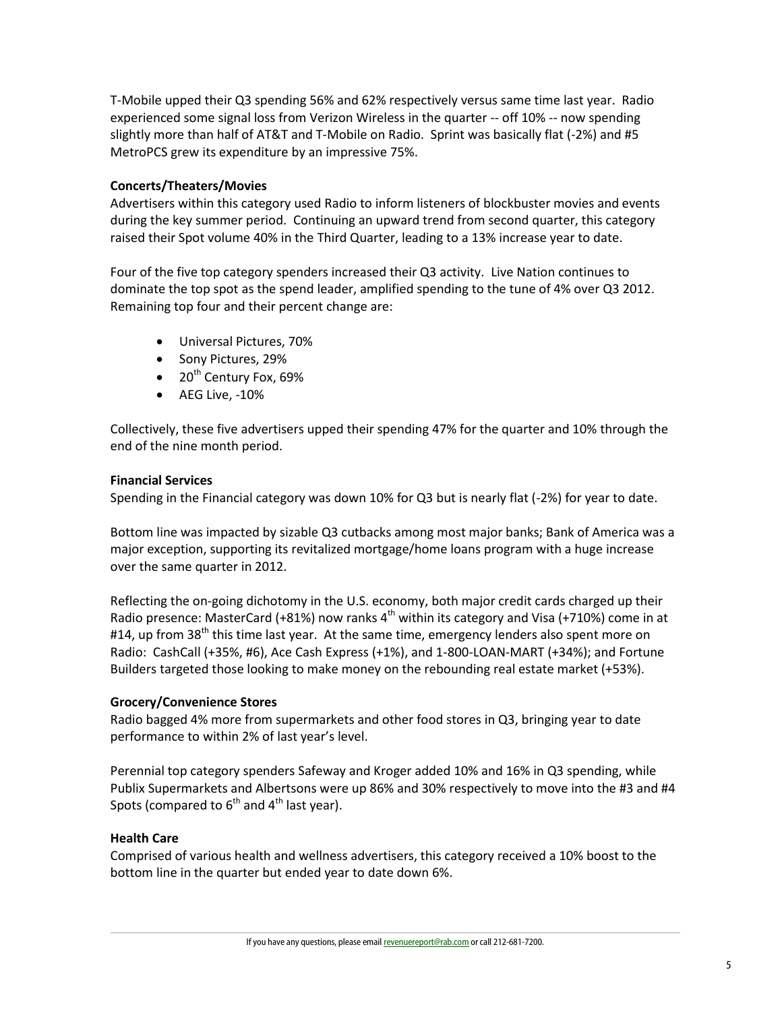T-Mobile upped their Q3 spending 56% and 62% respectively versus same time last year. Radio experienced some signal loss from Verizon Wireless in the quarter -- off 10% -- now spending slightly more than half of AT&T and T-Mobile on Radio. Sprint was basically flat (-2%) and #5 MetroPCS grew its expenditure by an impressive 75%.

# **Concerts/Theaters/Movies**

Advertisers within this category used Radio to inform listeners of blockbuster movies and events during the key summer period. Continuing an upward trend from second quarter, this category raised their Spot volume 40% in the Third Quarter, leading to a 13% increase year to date.

Four of the five top category spenders increased their Q3 activity. Live Nation continues to dominate the top spot as the spend leader, amplified spending to the tune of 4% over Q3 2012. Remaining top four and their percent change are:

- Universal Pictures, 70%
- Sony Pictures, 29%
- $\bullet$  20<sup>th</sup> Century Fox, 69%
- AEG Live, -10%

Collectively, these five advertisers upped their spending 47% for the quarter and 10% through the end of the nine month period.

#### **Financial Services**

Spending in the Financial category was down 10% for Q3 but is nearly flat (-2%) for year to date.

Bottom line was impacted by sizable Q3 cutbacks among most major banks; Bank of America was a major exception, supporting its revitalized mortgage/home loans program with a huge increase over the same quarter in 2012.

Reflecting the on-going dichotomy in the U.S. economy, both major credit cards charged up their Radio presence: MasterCard (+81%) now ranks  $4<sup>th</sup>$  within its category and Visa (+710%) come in at #14, up from 38<sup>th</sup> this time last year. At the same time, emergency lenders also spent more on Radio: CashCall (+35%, #6), Ace Cash Express (+1%), and 1-800-LOAN-MART (+34%); and Fortune Builders targeted those looking to make money on the rebounding real estate market (+53%).

## **Grocery/Convenience Stores**

Radio bagged 4% more from supermarkets and other food stores in Q3, bringing year to date performance to within 2% of last year's level.

Perennial top category spenders Safeway and Kroger added 10% and 16% in Q3 spending, while Publix Supermarkets and Albertsons were up 86% and 30% respectively to move into the #3 and #4 Spots (compared to  $6<sup>th</sup>$  and  $4<sup>th</sup>$  last year).

## **Health Care**

Comprised of various health and wellness advertisers, this category received a 10% boost to the bottom line in the quarter but ended year to date down 6%.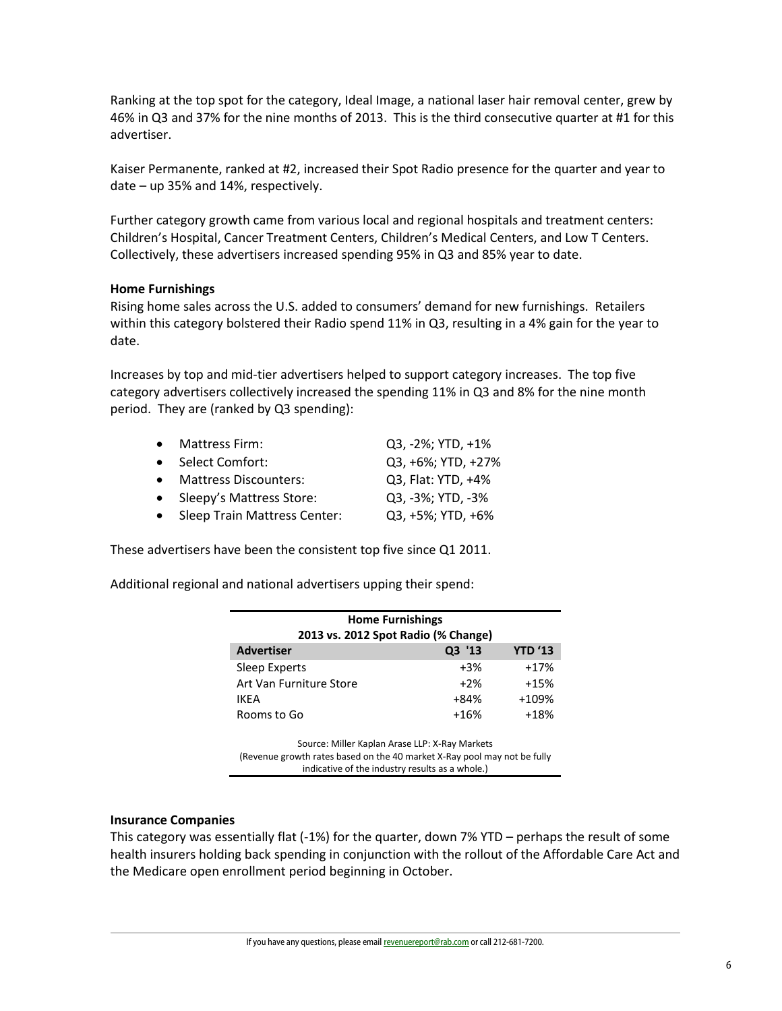Ranking at the top spot for the category, Ideal Image, a national laser hair removal center, grew by 46% in Q3 and 37% for the nine months of 2013. This is the third consecutive quarter at #1 for this advertiser.

Kaiser Permanente, ranked at #2, increased their Spot Radio presence for the quarter and year to date – up 35% and 14%, respectively.

Further category growth came from various local and regional hospitals and treatment centers: Children's Hospital, Cancer Treatment Centers, Children's Medical Centers, and Low T Centers. Collectively, these advertisers increased spending 95% in Q3 and 85% year to date.

#### **Home Furnishings**

Rising home sales across the U.S. added to consumers' demand for new furnishings. Retailers within this category bolstered their Radio spend 11% in Q3, resulting in a 4% gain for the year to date.

Increases by top and mid-tier advertisers helped to support category increases. The top five category advertisers collectively increased the spending 11% in Q3 and 8% for the nine month period. They are (ranked by Q3 spending):

| • Mattress Firm:               | Q3, -2%; YTD, +1%  |
|--------------------------------|--------------------|
| • Select Comfort:              | Q3, +6%; YTD, +27% |
| • Mattress Discounters:        | Q3, Flat: YTD, +4% |
| • Sleepy's Mattress Store:     | Q3, -3%; YTD, -3%  |
| • Sleep Train Mattress Center: | Q3, +5%; YTD, +6%  |

These advertisers have been the consistent top five since Q1 2011.

Additional regional and national advertisers upping their spend:

| <b>Home Furnishings</b><br>2013 vs. 2012 Spot Radio (% Change)                                                                                                                           |        |                |  |
|------------------------------------------------------------------------------------------------------------------------------------------------------------------------------------------|--------|----------------|--|
| <b>Advertiser</b>                                                                                                                                                                        | Q3 '13 | <b>YTD '13</b> |  |
| Sleep Experts                                                                                                                                                                            | $+3%$  | $+17%$         |  |
| Art Van Furniture Store                                                                                                                                                                  | $+2\%$ | $+15%$         |  |
| IKEA                                                                                                                                                                                     | +84%   | +109%          |  |
| Rooms to Go                                                                                                                                                                              | $+16%$ | $+18%$         |  |
| Source: Miller Kaplan Arase LLP: X-Ray Markets<br>$I$ Decompose the set of the set of the state of $\Delta$ and state $\Delta$ Decomposed to a set the full state of $\Delta$ H $\alpha$ |        |                |  |

(Revenue growth rates based on the 40 market X-Ray pool may not be fully indicative of the industry results as a whole.)

## **Insurance Companies**

This category was essentially flat (-1%) for the quarter, down 7% YTD – perhaps the result of some health insurers holding back spending in conjunction with the rollout of the Affordable Care Act and the Medicare open enrollment period beginning in October.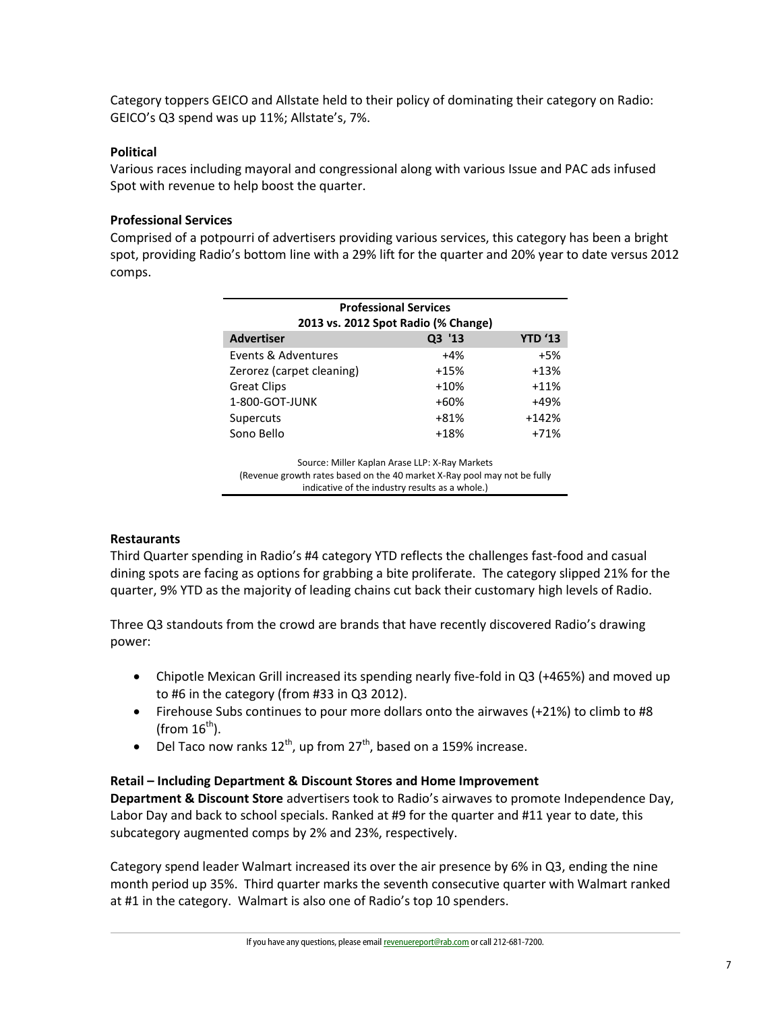Category toppers GEICO and Allstate held to their policy of dominating their category on Radio: GEICO's Q3 spend was up 11%; Allstate's, 7%.

## **Political**

Various races including mayoral and congressional along with various Issue and PAC ads infused Spot with revenue to help boost the quarter.

# **Professional Services**

Comprised of a potpourri of advertisers providing various services, this category has been a bright spot, providing Radio's bottom line with a 29% lift for the quarter and 20% year to date versus 2012 comps.

| <b>Professional Services</b><br>2013 vs. 2012 Spot Radio (% Change) |        |                |  |
|---------------------------------------------------------------------|--------|----------------|--|
| <b>Advertiser</b>                                                   | Q3 '13 | <b>YTD '13</b> |  |
| Events & Adventures                                                 | $+4%$  | $+5%$          |  |
| Zerorez (carpet cleaning)                                           | $+15%$ | $+13%$         |  |
| <b>Great Clips</b>                                                  | $+10%$ | $+11%$         |  |
| 1-800-GOT-JUNK                                                      | $+60%$ | +49%           |  |
| Supercuts                                                           | $+81%$ | $+142%$        |  |
| Sono Bello                                                          | $+18%$ | $+71%$         |  |

Source: Miller Kaplan Arase LLP: X-Ray Markets (Revenue growth rates based on the 40 market X-Ray pool may not be fully indicative of the industry results as a whole.)

## **Restaurants**

Third Quarter spending in Radio's #4 category YTD reflects the challenges fast-food and casual dining spots are facing as options for grabbing a bite proliferate. The category slipped 21% for the quarter, 9% YTD as the majority of leading chains cut back their customary high levels of Radio.

Three Q3 standouts from the crowd are brands that have recently discovered Radio's drawing power:

- Chipotle Mexican Grill increased its spending nearly five-fold in Q3 (+465%) and moved up to #6 in the category (from #33 in Q3 2012).
- Firehouse Subs continues to pour more dollars onto the airwaves (+21%) to climb to #8 (from  $16^{th}$ ).
- Del Taco now ranks  $12^{th}$ , up from  $27^{th}$ , based on a 159% increase.

## **Retail – Including Department & Discount Stores and Home Improvement**

**Department & Discount Store** advertisers took to Radio's airwaves to promote Independence Day, Labor Day and back to school specials. Ranked at #9 for the quarter and #11 year to date, this subcategory augmented comps by 2% and 23%, respectively.

Category spend leader Walmart increased its over the air presence by 6% in Q3, ending the nine month period up 35%. Third quarter marks the seventh consecutive quarter with Walmart ranked at #1 in the category. Walmart is also one of Radio's top 10 spenders.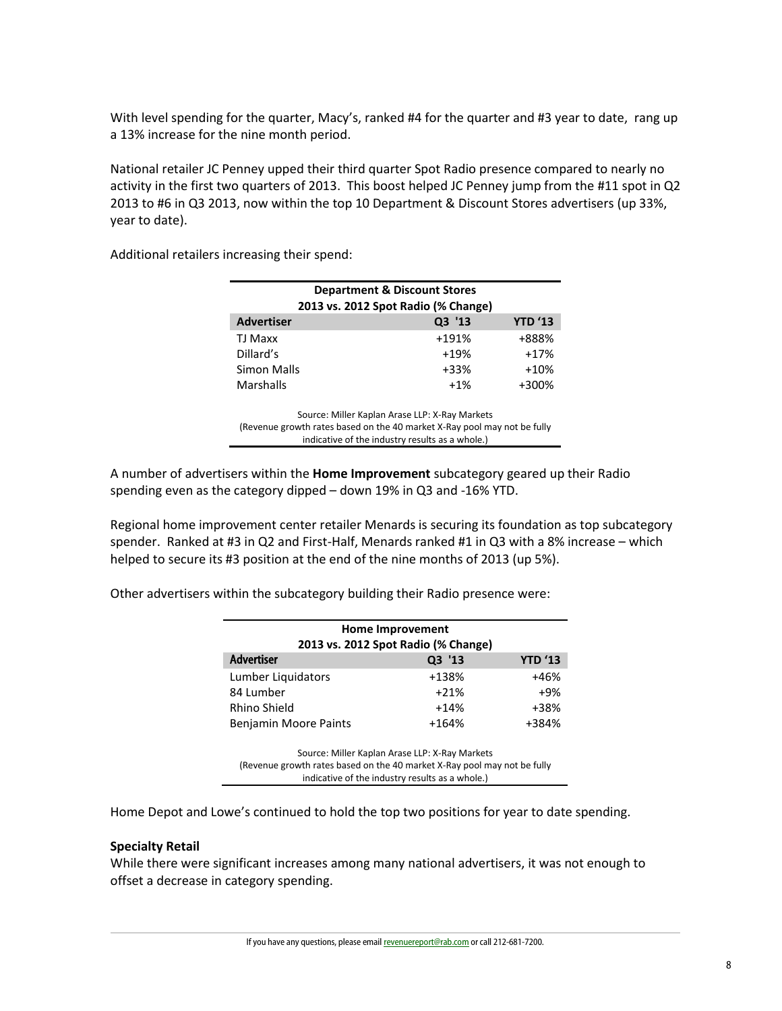With level spending for the quarter, Macy's, ranked #4 for the quarter and #3 year to date, rang up a 13% increase for the nine month period.

National retailer JC Penney upped their third quarter Spot Radio presence compared to nearly no activity in the first two quarters of 2013. This boost helped JC Penney jump from the #11 spot in Q2 2013 to #6 in Q3 2013, now within the top 10 Department & Discount Stores advertisers (up 33%, year to date).

Additional retailers increasing their spend:

| <b>Department &amp; Discount Stores</b><br>2013 vs. 2012 Spot Radio (% Change) |        |        |  |
|--------------------------------------------------------------------------------|--------|--------|--|
| Q3 '13<br><b>YTD '13</b><br><b>Advertiser</b>                                  |        |        |  |
| TJ Maxx                                                                        | +191%  | +888%  |  |
| Dillard's                                                                      | $+19%$ | $+17%$ |  |
| Simon Malls                                                                    | $+33%$ | $+10%$ |  |
| Marshalls                                                                      | $+1%$  | +300%  |  |
|                                                                                |        |        |  |

Source: Miller Kaplan Arase LLP: X-Ray Markets (Revenue growth rates based on the 40 market X-Ray pool may not be fully indicative of the industry results as a whole.)

A number of advertisers within the **Home Improvement** subcategory geared up their Radio spending even as the category dipped – down 19% in Q3 and -16% YTD.

Regional home improvement center retailer Menards is securing its foundation as top subcategory spender. Ranked at #3 in Q2 and First-Half, Menards ranked #1 in Q3 with a 8% increase – which helped to secure its #3 position at the end of the nine months of 2013 (up 5%).

Other advertisers within the subcategory building their Radio presence were:

| <b>Home Improvement</b><br>2013 vs. 2012 Spot Radio (% Change) |         |       |  |
|----------------------------------------------------------------|---------|-------|--|
| <b>Advertiser</b><br><b>YTD '13</b><br>Q3 '13                  |         |       |  |
| Lumber Liquidators                                             | +138%   | +46%  |  |
| 84 Lumber                                                      | $+21%$  | $+9%$ |  |
| Rhino Shield                                                   | $+14%$  | +38%  |  |
| <b>Benjamin Moore Paints</b>                                   | $+164%$ | +384% |  |

Source: Miller Kaplan Arase LLP: X-Ray Markets (Revenue growth rates based on the 40 market X-Ray pool may not be fully indicative of the industry results as a whole.)

Home Depot and Lowe's continued to hold the top two positions for year to date spending.

#### **Specialty Retail**

While there were significant increases among many national advertisers, it was not enough to offset a decrease in category spending.